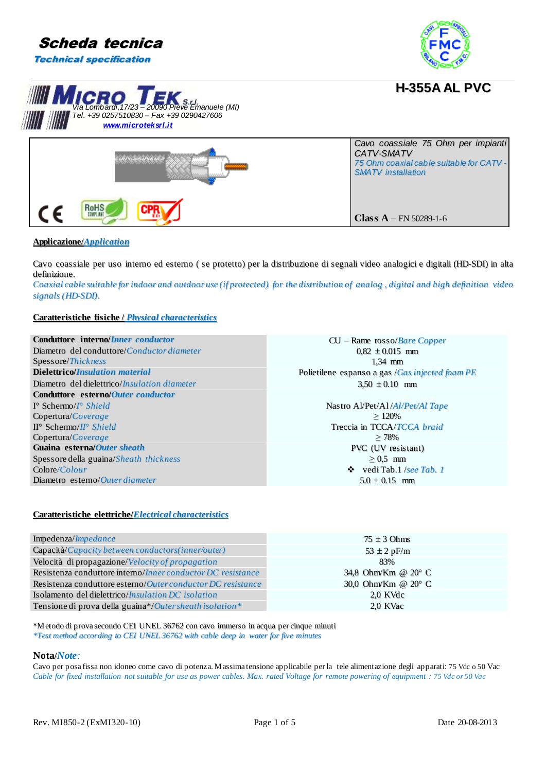







**Applicazione/***Application*

Cavo coassiale per uso interno ed esterno ( se protetto) per la distribuzione di segnali video analogici e digitali (HD--SDI) in alta definizione..

Coaxial cable suitable for indoor and outdoor use (if protected) for the distribution of analog, digital and high definition video *signals (HD--SDI)..*

### **Caratteristiche fisiche /** *Physical characteristics*

| Conduttore interno/Inner conductor                   | $CU -$ Rame rosso/ <i>Bare Copper</i>           |
|------------------------------------------------------|-------------------------------------------------|
| Diametro del conduttore/ <i>Conductor diameter</i>   | $0.82 \pm 0.015$ mm                             |
| Spessore/Thickness                                   | $1.34$ mm                                       |
| <b>Dielettrico/Insulation material</b>               | Polietilene espanso a gas /Gas injected foam PE |
| Diametro del dielettrico/ <i>Insulation diameter</i> | $3,50 \pm 0.10$ mm                              |
| Conduttore esterno/Outer conductor                   |                                                 |
| $I^{\circ}$ Schermo/ $I^{\circ}$ Shield              | Nastro Al/Pet/Al/ <i>Al/Pet/Al Tape</i>         |
| Copertura/Coverage                                   | $\geq 120\%$                                    |
| $\Pi^{\circ}$ Schermo/ $\Pi^{\circ}$ Shield          | Treccia in TCCA/TCCA braid                      |
| Copertura/Coverage                                   | $\geq 78\%$                                     |
| Guaina esterna/Outer sheath                          | <b>PVC</b> (UV resistant)                       |
| Spessore della guaina/Sheath thickness               | $\geq 0.5$ mm                                   |
| Colore/Color                                         | $\bullet$ vedi Tab. 1 /see Tab. 1               |
| Diametro esterno/Outer diameter                      | $5.0 \pm 0.15$ mm                               |

#### **Caratteristiche elettriche/***Electrical characteristics*

| Impedenza/Impedance                                                 | $75 \pm 3$ Ohms     |
|---------------------------------------------------------------------|---------------------|
| Capacità/Capacity between conductors(inner/outer)                   | 53 $\pm$ 2 pF/m     |
| Velocità di propagazione/Velocity of propagation                    | 83%                 |
| Resistenza conduttore interno/Inner conductor DC resistance         | 34,8 Ohm/Km @ 20° C |
| Resistenza conduttore esterno/ <i>Outer conductor DC resistance</i> | 30,0 Ohm/Km @ 20° C |
| Isolamento del dielettrico/ <i>Insulation DC isolation</i>          | 2.0 KVdc            |
| Tensione di prova della guaina*/Outer sheath isolation*             | 2.0 KVac            |

\*Metodo di prova secondo CEI UNEL 36762 con cavo immerso in acqua per cinque minuti *\*Test method according to CEI UNEL 36762 with cable deep in water for five minutes*

### **Nota/***Note:*

Cavo per posa fissa non idoneo come cavo di potenza. Massima tensione applicabile per la tele alimentazione degli apparati: 75 Vdc o 50 Vac *Cable for fixed installation not suitable for use as power cables. Max. rated Voltage for remote powering of equipment : 75 Vdc or 50 Vac*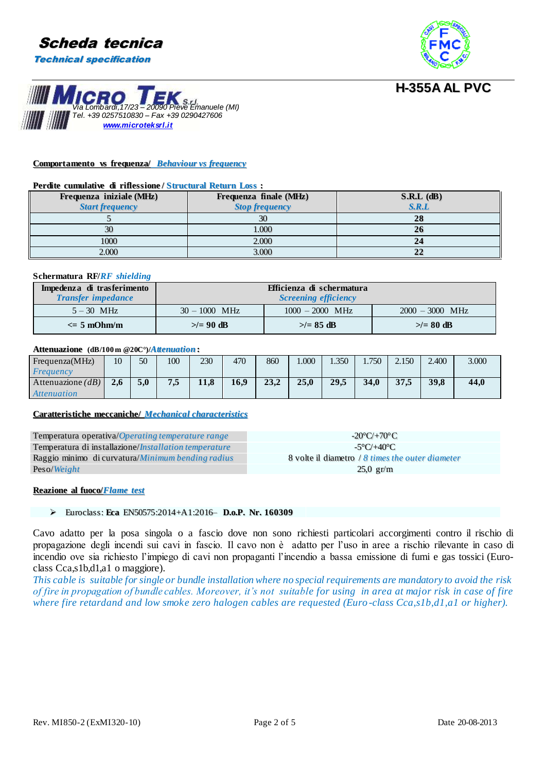



# *Via Lombardi,17/23 – 20090 Pieve Emanuele (MI) Tel. +39 0257510830 – Fax +39 0290427606*

### **Comportamento vs frequenza/** *Behaviour vs frequency*

*[www.microteksrl.i](http://www.microteksrl.it/)t*

#### **Perdite cumulative di riflessione / Structural Return Loss :**

| Frequenza iniziale (MHz)<br><b>Start frequency</b> | Frequenza finale (MHz)<br><b>Stop frequency</b> | $S.R.L$ (dB)<br>S.R.L |
|----------------------------------------------------|-------------------------------------------------|-----------------------|
|                                                    | 30                                              | 28                    |
| 30                                                 | 1.000                                           | 26                    |
| 1000                                               | 2.000                                           |                       |
| 2.000                                              | 3.000                                           |                       |

### **Schermatura RF/***RF shielding*

| Impedenza di trasferimento<br><b>Transfer impedance</b> | Efficienza di schermatura<br><b>Screening efficiency</b> |                   |                |  |
|---------------------------------------------------------|----------------------------------------------------------|-------------------|----------------|--|
| $5 - 30$ MHz                                            | $30 - 1000$ MHz                                          | $2000 - 3000$ MHz |                |  |
| $\epsilon = 5$ mOhm/m                                   | $\geq$ = 90 dB                                           | $>\!>= 85$ dB     | $\geq$ = 80 dB |  |

### **Attenuazione (dB/100m @20C°)/***Attenuation***:**

| Frequenza(MHz)     | 10  | 50  | 100 | 230  | 470  | 860  | .000 | .350 | 1.750 | 2.150 | 2.400 | 3.000 |
|--------------------|-----|-----|-----|------|------|------|------|------|-------|-------|-------|-------|
| Frequency          |     |     |     |      |      |      |      |      |       |       |       |       |
| Attenuazione $dB$  | 2.6 | 5.0 | 7,5 | 11,8 | 16.9 | 23.2 | 25.0 | 29,5 | 34.0  | 37.5  | 39.8  | 44.0  |
| <i>Attenuation</i> |     |     |     |      |      |      |      |      |       |       |       |       |

### **Caratteristiche meccaniche/** *Mechanical characteristics*

Temperatura operativa/*Operating temperature range* --20°C/+70°C Temperatura di installazione/*Installation temperature* -5<sup>o</sup>C/+40<sup>o</sup>C Raggio minimo di curvatura/*Minimum bending radius* 8 volte il diametro / *8 times the outer diameter* Peso/*Weight* 25,0 gr/m

### **Reazione al fuoco/***Flame test*

### Euroclass:: **Eca** EN50575::2014+A1::2016–– **D.o.P. Nr. 160309**

Cavo adatto per la posa singola o a fascio dove non sono richiesti particolari accorgimenti contro il rischio di propagazione degli incendi sui cavi in fascio. Il cavo non è adatto per l'uso in aree a rischio rilevante in caso di incendio ove sia richiesto l'impiego di cavi non propaganti l'incendio a bassa emissione di fumi e gas tossici (Euroclass Cca,s1b,d1,a1 o maggiore).

*This cable is suitable for single or bundle installation where no special requirements are mandatory to avoid the risk of fire in propagation of bundle cables. Moreover, it's not suitable for using in area at major risk in case of fire where fire retardand and low smoke zero halogen cables are requested (Euro -class Cca,s1b,d1,a1 or higher).*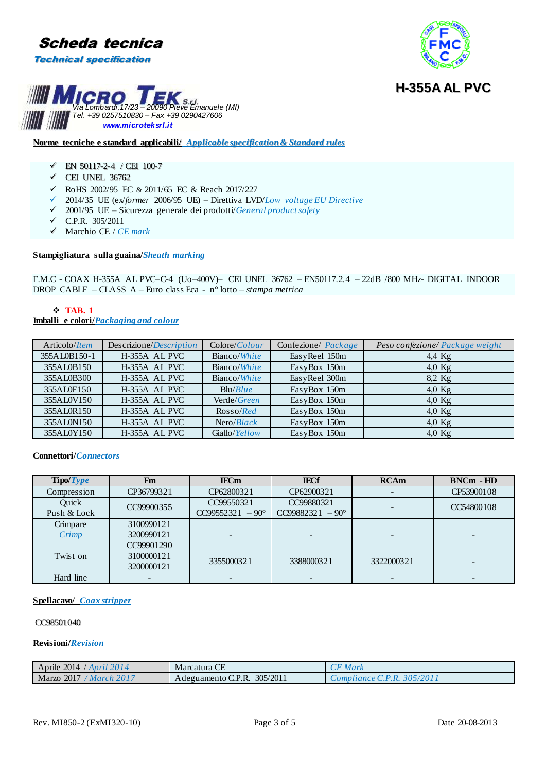





### **Norme tecniche e standard applicabili/** *Applicable specification& Standard rules*

- $\checkmark$  EN 50117-2-4 / CEI 100-7
- $\checkmark$  CEI UNEL 36762
- RoHS 2002/95 EC & 2011/65 EC & Reach 2017/227
- 2014/35 UE (ex/*former* 2006/95 UE) Direttiva LVD/*Low voltage EU Directive*
- 2001/95 UE Sicurezza generale dei prodotti/*General product safety*
- C.P.R. 305/2011
- Marchio CE / *CE mark*

### **Stampigliatura sulla guaina/***Sheath marking*

F.M.C - COAX H-355A AL PVC–C-4 (Uo=400V)– CEI UNEL 36762 – EN50117.2.4 – 22dB /800 MHz- DIGITAL INDOOR DROP CABLE – CLASS A – Euro class Eca - n° lotto – *stampa metrica*

### **TAB. 1 Imballi e colori/***Packaging and colour*

| Articolo/ <i>Item</i> | Descrizione/ <i>Description</i> | Colorc/Color         | Confezione/ Package | Peso confezione/ Package weight |
|-----------------------|---------------------------------|----------------------|---------------------|---------------------------------|
| 355AL0B150-1          | H-355A AL PVC                   | Bianco/ <i>White</i> | EasyReel 150m       | 4,4 Kg                          |
| 355AL0B150            | H-355A AL PVC                   | Bianco/ <i>White</i> | EasyBox 150m        | $4.0$ Kg                        |
| 355AL0B300            | H-355A AL PVC                   | Bianco/White         | EasyReel 300m       | 8,2 Kg                          |
| 355AL0E150            | H-355A AL PVC                   | Blu/Blue             | EasyBox 150m        | $4,0$ Kg                        |
| 355AL0V150            | H-355A AL PVC                   | Verde/Green          | EasyBox 150m        | $4,0$ Kg                        |
| 355AL0R150            | H-355A AL PVC                   | Rosso/Red            | EasyBox 150m        | $4,0$ Kg                        |
| 355AL0N150            | H-355A AL PVC                   | Nero/Black           | EasyBox 150m        | $4,0$ Kg                        |
| 355AL0Y150            | H-355A AL PVC                   | Giallo/Yellow        | EasyBox 150m        | $4.0$ Kg                        |

### **Connettori/***Connectors*

| Tipo/Type            | Fm                                     | <b>IECm</b>                             | <b>IECf</b>                             | <b>RCAm</b> | <b>BNCm - HD</b> |
|----------------------|----------------------------------------|-----------------------------------------|-----------------------------------------|-------------|------------------|
| Compression          | CP36799321                             | CP62800321                              | CP62900321                              | ۰.          | CP53900108       |
| Quick<br>Push & Lock | CC99900355                             | CC99550321<br>$CC99552321 - 90^{\circ}$ | CC99880321<br>$CC99882321 - 90^{\circ}$ |             | CC54800108       |
| Crimpare<br>Crimp    | 3100990121<br>3200990121<br>CC99901290 |                                         |                                         |             |                  |
| Twist on             | 3100000121<br>3200000121               | 3355000321                              | 3388000321                              | 3322000321  |                  |
| Hard line            |                                        |                                         |                                         |             |                  |

### **Spellacavo/** *Coax stripper*

### CC98501040

### **Revisioni/***Revision*

| Aprile 2014 / April 2014 | Marcatura CE                   | $\Gamma$ E Mark            |
|--------------------------|--------------------------------|----------------------------|
| Marzo 2017<br>March 2017 | 305/2011<br>Adeguamento C.P.R. | Compliance C.P.R. 305/2011 |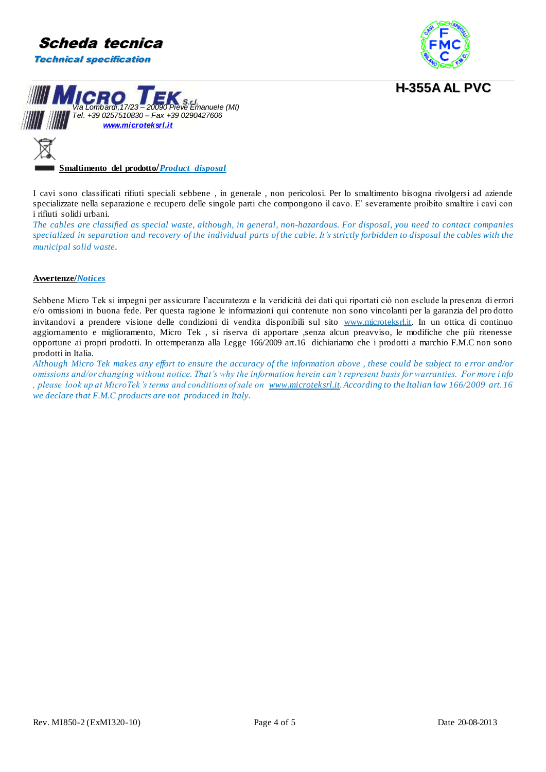





**Smaltimento del prodotto/***Product disposal*

I cavi sono classificati rifiuti speciali sebbene , in generale , non pericolosi. Per lo smaltimento bisogna rivolgersi ad aziende specializzate nella separazione e recupero delle singole parti che compongono il cavo. E' severamente proibito smaltire i cavi con i rifiuti solidi urbani.

*The cables are classified as special waste, although, in general, non-hazardous. For disposal, you need to contact companies specialized in separation and recovery of the individual parts of the cable. It's strictly forbidden to disposal the cables with the municipal solid waste.*

### **Avvertenze/***Notices*

Sebbene Micro Tek si impegni per assicurare l'accuratezza e la veridicità dei dati qui riportati ciò non esclude la presenza di errori e/o omissioni in buona fede. Per questa ragione le informazioni qui contenute non sono vincolanti per la garanzia del pro dotto invitandovi a prendere visione delle condizioni di vendita disponibili sul sito www.microteksrl.it. In un ottica di continuo aggiornamento e miglioramento, Micro Tek , si riserva di apportare ,senza alcun preavviso, le modifiche che più ritenesse opportune ai propri prodotti. In ottemperanza alla Legge 166/2009 art.16 dichiariamo che i prodotti a marchio F.M.C non sono prodotti in Italia.

*Although Micro Tek makes any effort to ensure the accuracy of the information above , these could be subject to e rror and/or omissions and/or changing without notice. That's why the information herein can't represent basis for warranties. For more i nfo , please look up at MicroTek's terms and conditions of sale on [www.microteksrl.it.](http://www.microteksrl.it/) According to the Italian law 166/2009 art. 16 we declare that F.M.C products are not produced in Italy.*